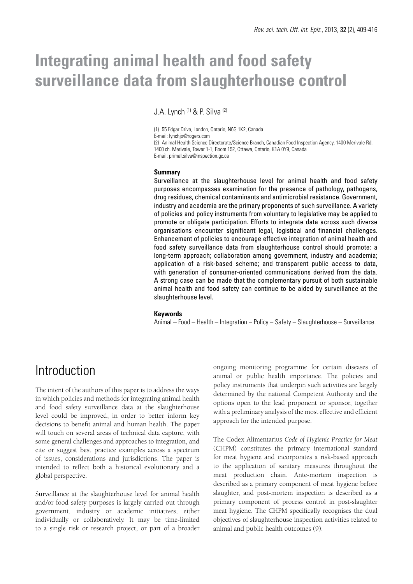# **Integrating animal health and food safety surveillance data from slaughterhouse control**

J.A. Lynch (1) & P. Silva (2)

(1) 55 Edgar Drive, London, Ontario, N6G 1K2, Canada E-mail: lynchjo@rogers.com

(2) Animal Health Science Directorate/Science Branch, Canadian Food Inspection Agency, 1400 Merivale Rd, 1400 ch. Merivale, Tower 1-1, Room 152, Ottawa, Ontario, K1A 0Y9, Canada E-mail: primal.silva@inspection.gc.ca

#### **Summary**

Surveillance at the slaughterhouse level for animal health and food safety purposes encompasses examination for the presence of pathology, pathogens, drug residues, chemical contaminants and antimicrobial resistance. Government, industry and academia are the primary proponents of such surveillance. A variety of policies and policy instruments from voluntary to legislative may be applied to promote or obligate participation. Efforts to integrate data across such diverse organisations encounter significant legal, logistical and financial challenges. Enhancement of policies to encourage effective integration of animal health and food safety surveillance data from slaughterhouse control should promote: a long-term approach; collaboration among government, industry and academia; application of a risk-based scheme; and transparent public access to data, with generation of consumer-oriented communications derived from the data. A strong case can be made that the complementary pursuit of both sustainable animal health and food safety can continue to be aided by surveillance at the slaughterhouse level.

#### **Keywords**

Animal – Food – Health – Integration – Policy – Safety – Slaughterhouse – Surveillance.

### Introduction

The intent of the authors of this paper is to address the ways in which policies and methods for integrating animal health and food safety surveillance data at the slaughterhouse level could be improved, in order to better inform key decisions to benefit animal and human health. The paper will touch on several areas of technical data capture, with some general challenges and approaches to integration, and cite or suggest best practice examples across a spectrum of issues, considerations and jurisdictions. The paper is intended to reflect both a historical evolutionary and a global perspective.

Surveillance at the slaughterhouse level for animal health and/or food safety purposes is largely carried out through government, industry or academic initiatives, either individually or collaboratively. It may be time-limited to a single risk or research project, or part of a broader ongoing monitoring programme for certain diseases of animal or public health importance. The policies and policy instruments that underpin such activities are largely determined by the national Competent Authority and the options open to the lead proponent or sponsor, together with a preliminary analysis of the most effective and efficient approach for the intended purpose.

The Codex Alimentarius *Code of Hygienic Practice for Meat* (CHPM) constitutes the primary international standard for meat hygiene and incorporates a risk-based approach to the application of sanitary measures throughout the meat production chain. Ante-mortem inspection is described as a primary component of meat hygiene before slaughter, and post-mortem inspection is described as a primary component of process control in post-slaughter meat hygiene. The CHPM specifically recognises the dual objectives of slaughterhouse inspection activities related to animal and public health outcomes (9).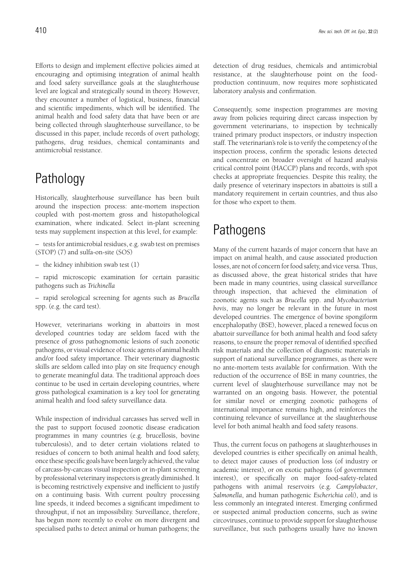Efforts to design and implement effective policies aimed at encouraging and optimising integration of animal health and food safety surveillance goals at the slaughterhouse level are logical and strategically sound in theory. However, they encounter a number of logistical, business, financial and scientific impediments, which will be identified. The animal health and food safety data that have been or are being collected through slaughterhouse surveillance, to be discussed in this paper, include records of overt pathology, pathogens, drug residues, chemical contaminants and antimicrobial resistance.

# Pathology

Historically, slaughterhouse surveillance has been built around the inspection process: ante-mortem inspection coupled with post-mortem gross and histopathological examination, where indicated. Select in-plant screening tests may supplement inspection at this level, for example:

– tests for antimicrobial residues, e.g. swab test on premises (STOP) (7) and sulfa-on-site (SOS)

– the kidney inhibition swab test (1)

– rapid microscopic examination for certain parasitic pathogens such as *Trichinella*

– rapid serological screening for agents such as *Brucella* spp. (e.g. the card test).

However, veterinarians working in abattoirs in most developed countries today are seldom faced with the presence of gross pathognomonic lesions of such zoonotic pathogens, or visual evidence of toxic agents of animal health and/or food safety importance. Their veterinary diagnostic skills are seldom called into play on site frequency enough to generate meaningful data. The traditional approach does continue to be used in certain developing countries, where gross pathological examination is a key tool for generating animal health and food safety surveillance data.

While inspection of individual carcasses has served well in the past to support focused zoonotic disease eradication programmes in many countries (e.g. brucellosis, bovine tuberculosis), and to deter certain violations related to residues of concern to both animal health and food safety, once these specific goals have been largely achieved, the value of carcass-by-carcass visual inspection or in-plant screening by professional veterinary inspectors is greatly diminished. It is becoming restrictively expensive and inefficient to justify on a continuing basis. With current poultry processing line speeds, it indeed becomes a significant impediment to throughput, if not an impossibility. Surveillance, therefore, has begun more recently to evolve on more divergent and specialised paths to detect animal or human pathogens; the detection of drug residues, chemicals and antimicrobial resistance, at the slaughterhouse point on the foodproduction continuum, now requires more sophisticated laboratory analysis and confirmation.

Consequently, some inspection programmes are moving away from policies requiring direct carcass inspection by government veterinarians, to inspection by technically trained primary product inspectors, or industry inspection staff. The veterinarian's role is to verify the competency of the inspection process, confirm the sporadic lesions detected and concentrate on broader oversight of hazard analysis critical control point (HACCP) plans and records, with spot checks at appropriate frequencies. Despite this reality, the daily presence of veterinary inspectors in abattoirs is still a mandatory requirement in certain countries, and thus also for those who export to them.

### Pathogens

Many of the current hazards of major concern that have an impact on animal health, and cause associated production losses, are not of concern for food safety, and vice versa. Thus, as discussed above, the great historical strides that have been made in many countries, using classical surveillance through inspection, that achieved the elimination of zoonotic agents such as *Brucella* spp. and *Mycobacterium bovis*, may no longer be relevant in the future in most developed countries. The emergence of bovine spongiform encephalopathy (BSE), however, placed a renewed focus on abattoir surveillance for both animal health and food safety reasons, to ensure the proper removal of identified specified risk materials and the collection of diagnostic materials in support of national surveillance programmes, as there were no ante-mortem tests available for confirmation. With the reduction of the occurrence of BSE in many countries, the current level of slaughterhouse surveillance may not be warranted on an ongoing basis. However, the potential for similar novel or emerging zoonotic pathogens of international importance remains high, and reinforces the continuing relevance of surveillance at the slaughterhouse level for both animal health and food safety reasons.

Thus, the current focus on pathogens at slaughterhouses in developed countries is either specifically on animal health, to detect major causes of production loss (of industry or academic interest), or on exotic pathogens (of government interest), or specifically on major food-safety-related pathogens with animal reservoirs (e.g. *Campylobacter*, *Salmonella*, and human pathogenic *Escherichia coli*), and is less commonly an integrated interest. Emerging confirmed or suspected animal production concerns, such as swine circoviruses, continue to provide support for slaughterhouse surveillance, but such pathogens usually have no known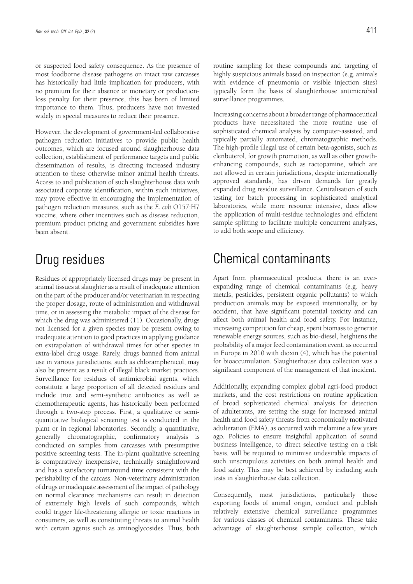or suspected food safety consequence. As the presence of most foodborne disease pathogens on intact raw carcasses has historically had little implication for producers, with no premium for their absence or monetary or productionloss penalty for their presence, this has been of limited importance to them. Thus, producers have not invested widely in special measures to reduce their presence.

However, the development of government-led collaborative pathogen reduction initiatives to provide public health outcomes, which are focused around slaughterhouse data collection, establishment of performance targets and public dissemination of results, is directing increased industry attention to these otherwise minor animal health threats. Access to and publication of such slaughterhouse data with associated corporate identification, within such initiatives, may prove effective in encouraging the implementation of pathogen reduction measures, such as the *E. coli* O157:H7 vaccine, where other incentives such as disease reduction, premium product pricing and government subsidies have been absent.

# Drug residues

Residues of appropriately licensed drugs may be present in animal tissues at slaughter as a result of inadequate attention on the part of the producer and/or veterinarian in respecting the proper dosage, route of administration and withdrawal time, or in assessing the metabolic impact of the disease for which the drug was administered (11). Occasionally, drugs not licensed for a given species may be present owing to inadequate attention to good practices in applying guidance on extrapolation of withdrawal times for other species in extra-label drug usage. Rarely, drugs banned from animal use in various jurisdictions, such as chloramphenicol, may also be present as a result of illegal black market practices. Surveillance for residues of antimicrobial agents, which constitute a large proportion of all detected residues and include true and semi-synthetic antibiotics as well as chemotherapeutic agents, has historically been performed through a two-step process. First, a qualitative or semiquantitative biological screening test is conducted in the plant or in regional laboratories. Secondly, a quantitative, generally chromatographic, confirmatory analysis is conducted on samples from carcasses with presumptive positive screening tests. The in-plant qualitative screening is comparatively inexpensive, technically straightforward and has a satisfactory turnaround time consistent with the perishability of the carcass. Non-veterinary administration of drugs or inadequate assessment of the impact of pathology on normal clearance mechanisms can result in detection of extremely high levels of such compounds, which could trigger life-threatening allergic or toxic reactions in consumers, as well as constituting threats to animal health with certain agents such as aminoglycosides. Thus, both routine sampling for these compounds and targeting of highly suspicious animals based on inspection (e.g. animals with evidence of pneumonia or visible injection sites) typically form the basis of slaughterhouse antimicrobial surveillance programmes.

Increasing concerns about a broader range of pharmaceutical products have necessitated the more routine use of sophisticated chemical analysis by computer-assisted, and typically partially automated, chromatographic methods. The high-profile illegal use of certain beta-agonists, such as clenbuterol, for growth promotion, as well as other growthenhancing compounds, such as ractopamine, which are not allowed in certain jurisdictions, despite internationally approved standards, has driven demands for greatly expanded drug residue surveillance. Centralisation of such testing for batch processing in sophisticated analytical laboratories, while more resource intensive, does allow the application of multi-residue technologies and efficient sample splitting to facilitate multiple concurrent analyses, to add both scope and efficiency.

# Chemical contaminants

Apart from pharmaceutical products, there is an everexpanding range of chemical contaminants (e.g. heavy metals, pesticides, persistent organic pollutants) to which production animals may be exposed intentionally, or by accident, that have significant potential toxicity and can affect both animal health and food safety. For instance, increasing competition for cheap, spent biomass to generate renewable energy sources, such as bio-diesel, heightens the probability of a major feed contamination event, as occurred in Europe in 2010 with dioxin (4), which has the potential for bioaccumulation. Slaughterhouse data collection was a significant component of the management of that incident.

Additionally, expanding complex global agri-food product markets, and the cost restrictions on routine application of broad sophisticated chemical analysis for detection of adulterants, are setting the stage for increased animal health and food safety threats from economically motivated adulteration (EMA), as occurred with melamine a few years ago. Policies to ensure insightful application of sound business intelligence, to direct selective testing on a risk basis, will be required to minimise undesirable impacts of such unscrupulous activities on both animal health and food safety. This may be best achieved by including such tests in slaughterhouse data collection.

Consequently, most jurisdictions, particularly those exporting foods of animal origin, conduct and publish relatively extensive chemical surveillance programmes for various classes of chemical contaminants. These take advantage of slaughterhouse sample collection, which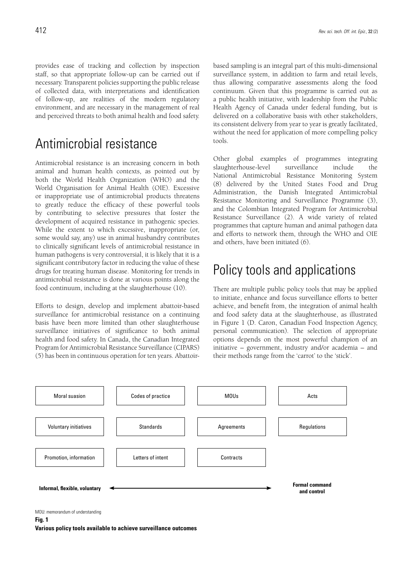provides ease of tracking and collection by inspection staff, so that appropriate follow-up can be carried out if necessary. Transparent policies supporting the public release of collected data, with interpretations and identification of follow-up, are realities of the modern regulatory environment, and are necessary in the management of real and perceived threats to both animal health and food safety.

# Antimicrobial resistance

Antimicrobial resistance is an increasing concern in both animal and human health contexts, as pointed out by both the World Health Organization (WHO) and the World Organisation for Animal Health (OIE). Excessive or inappropriate use of antimicrobial products threatens to greatly reduce the efficacy of these powerful tools by contributing to selective pressures that foster the development of acquired resistance in pathogenic species. While the extent to which excessive, inappropriate (or, some would say, any) use in animal husbandry contributes to clinically significant levels of antimicrobial resistance in human pathogens is very controversial, it is likely that it is a significant contributory factor in reducing the value of these drugs for treating human disease. Monitoring for trends in antimicrobial resistance is done at various points along the food continuum, including at the slaughterhouse (10).

Efforts to design, develop and implement abattoir-based surveillance for antimicrobial resistance on a continuing basis have been more limited than other slaughterhouse surveillance initiatives of significance to both animal health and food safety. In Canada, the Canadian Integrated Program for Antimicrobial Resistance Surveillance (CIPARS) (5) has been in continuous operation for ten years. Abattoirbased sampling is an integral part of this multi-dimensional surveillance system, in addition to farm and retail levels, thus allowing comparative assessments along the food continuum. Given that this programme is carried out as a public health initiative, with leadership from the Public Health Agency of Canada under federal funding, but is delivered on a collaborative basis with other stakeholders, its consistent delivery from year to year is greatly facilitated, without the need for application of more compelling policy tools.

Other global examples of programmes integrating slaughterhouse-level surveillance include the National Antimicrobial Resistance Monitoring System (8) delivered by the United States Food and Drug Administration, the Danish Integrated Antimicrobial Resistance Monitoring and Surveillance Programme (3), and the Colombian Integrated Program for Antimicrobial Resistance Surveillance (2). A wide variety of related programmes that capture human and animal pathogen data and efforts to network them, through the WHO and OIE and others, have been initiated (6).

# Policy tools and applications

There are multiple public policy tools that may be applied to initiate, enhance and focus surveillance efforts to better achieve, and benefit from, the integration of animal health and food safety data at the slaughterhouse, as illustrated in Figure 1 (D. Caron, Canadian Food Inspection Agency, personal communication). The selection of appropriate options depends on the most powerful champion of an initiative – government, industry and/or academia – and their methods range from the 'carrot' to the 'stick'.



MOU: memorandum of understanding

**Various policy tools available to achieve surveillance outcomes**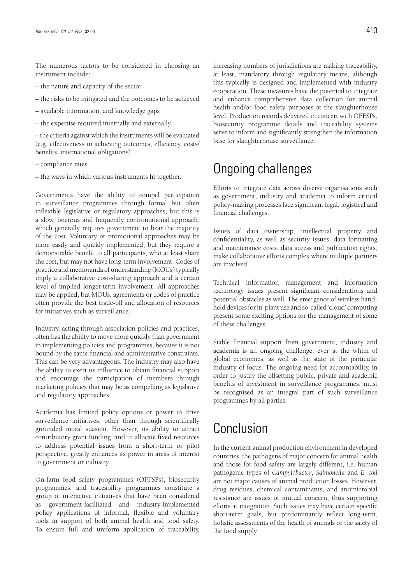The numerous factors to be considered in choosing an instrument include:

- the nature and capacity of the sector
- the risks to be mitigated and the outcomes to be achieved
- available information, and knowledge gaps
- the expertise required internally and externally

– the criteria against which the instruments will be evaluated (e.g. effectiveness in achieving outcomes, efficiency, costs/ benefits, international obligations)

- compliance rates
- the ways in which various instruments fit together.

Governments have the ability to compel participation in surveillance programmes through formal but often inflexible legislative or regulatory approaches, but this is a slow, onerous and frequently confrontational approach, which generally requires government to bear the majority of the cost. Voluntary or promotional approaches may be more easily and quickly implemented, but they require a demonstrable benefit to all participants, who at least share the cost, but may not have long-term involvement. Codes of practice and memoranda of understanding (MOUs) typically imply a collaborative cost-sharing approach and a certain level of implied longer-term involvement. All approaches may be applied, but MOUs, agreements or codes of practice often provide the best trade-off and allocation of resources for initiatives such as surveillance.

Industry, acting through association policies and practices, often has the ability to move more quickly than government in implementing policies and programmes, because it is not bound by the same financial and administrative constraints. This can be very advantageous. The industry may also have the ability to exert its influence to obtain financial support and encourage the participation of members through marketing policies that may be as compelling as legislative and regulatory approaches.

Academia has limited policy options or power to drive surveillance initiatives, other than through scientifically grounded moral suasion. However, its ability to attract contributory grant funding, and to allocate fixed resources to address potential issues from a short-term or pilot perspective, greatly enhances its power in areas of interest to government or industry.

On-farm food safety programmes (OFFSPs), biosecurity programmes, and traceability programmes constitute a group of interactive initiatives that have been considered as government-facilitated and industry-implemented policy applications of informal, flexible and voluntary tools in support of both animal health and food safety. To ensure full and uniform application of traceability, increasing numbers of jurisdictions are making traceability, at least, mandatory through regulatory means, although this typically is designed and implemented with industry cooperation. These measures have the potential to integrate and enhance comprehensive data collection for animal health and/or food safety purposes at the slaughterhouse level. Production records delivered in concert with OFFSPs, biosecurity programme details and traceability systems serve to inform and significantly strengthen the information base for slaughterhouse surveillance.

### Ongoing challenges

Efforts to integrate data across diverse organisations such as government, industry and academia to inform critical policy-making processes face significant legal, logistical and financial challenges.

Issues of data ownership, intellectual property and confidentiality, as well as security issues, data formatting and maintenance costs, data access and publication rights, make collaborative efforts complex where multiple partners are involved.

Technical information management and information technology issues present significant considerations and potential obstacles as well. The emergence of wireless handheld devices for in-plant use and so-called 'cloud' computing present some exciting options for the management of some of these challenges.

Stable financial support from government, industry and academia is an ongoing challenge, ever at the whim of global economies, as well as the state of the particular industry of focus. The ongoing need for accountability, in order to justify the offsetting public, private and academic benefits of investment in surveillance programmes, must be recognised as an integral part of such surveillance programmes by all parties.

# Conclusion

In the current animal production environment in developed countries, the pathogens of major concern for animal health and those for food safety are largely different, i.e. human pathogenic types of *Campylobacter*, *Salmonella* and *E. coli* are not major causes of animal production losses. However, drug residues, chemical contaminants, and antimicrobial resistance are issues of mutual concern, thus supporting efforts at integration. Such issues may have certain specific short-term goals, but predominantly reflect long-term, holistic assessments of the health of animals or the safety of the food supply.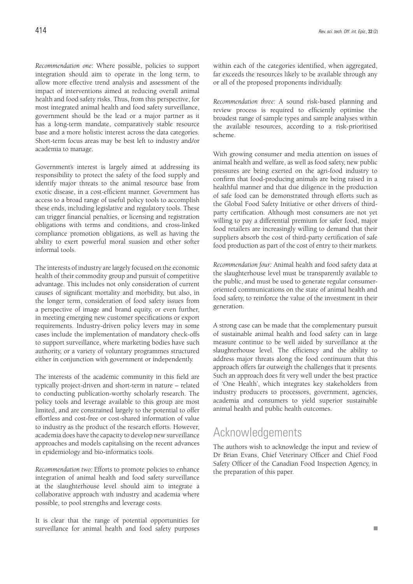*Recommendation one*: Where possible, policies to support integration should aim to operate in the long term, to allow more effective trend analysis and assessment of the impact of interventions aimed at reducing overall animal health and food safety risks. Thus, from this perspective, for most integrated animal health and food safety surveillance, government should be the lead or a major partner as it has a long-term mandate, comparatively stable resource base and a more holistic interest across the data categories. Short-term focus areas may be best left to industry and/or academia to manage.

Government's interest is largely aimed at addressing its responsibility to protect the safety of the food supply and identify major threats to the animal resource base from exotic disease, in a cost-efficient manner. Government has access to a broad range of useful policy tools to accomplish these ends, including legislative and regulatory tools. These can trigger financial penalties, or licensing and registration obligations with terms and conditions, and cross-linked compliance promotion obligations, as well as having the ability to exert powerful moral suasion and other softer informal tools.

The interests of industry are largely focused on the economic health of their commodity group and pursuit of competitive advantage. This includes not only consideration of current causes of significant mortality and morbidity, but also, in the longer term, consideration of food safety issues from a perspective of image and brand equity, or even further, in meeting emerging new customer specifications or export requirements. Industry-driven policy levers may in some cases include the implementation of mandatory check-offs to support surveillance, where marketing bodies have such authority, or a variety of voluntary programmes structured either in conjunction with government or independently.

The interests of the academic community in this field are typically project-driven and short-term in nature – related to conducting publication-worthy scholarly research. The policy tools and leverage available to this group are most limited, and are constrained largely to the potential to offer effortless and cost-free or cost-shared information of value to industry as the product of the research efforts. However, academia does have the capacity to develop new surveillance approaches and models capitalising on the recent advances in epidemiology and bio-informatics tools.

*Recommendation two:* Efforts to promote policies to enhance integration of animal health and food safety surveillance at the slaughterhouse level should aim to integrate a collaborative approach with industry and academia where possible, to pool strengths and leverage costs.

It is clear that the range of potential opportunities for surveillance for animal health and food safety purposes

within each of the categories identified, when aggregated, far exceeds the resources likely to be available through any or all of the proposed proponents individually.

*Recommendation three:* A sound risk-based planning and review process is required to efficiently optimise the broadest range of sample types and sample analyses within the available resources, according to a risk-prioritised scheme.

With growing consumer and media attention on issues of animal health and welfare, as well as food safety, new public pressures are being exerted on the agri-food industry to confirm that food-producing animals are being raised in a healthful manner and that due diligence in the production of safe food can be demonstrated through efforts such as the Global Food Safety Initiative or other drivers of thirdparty certification. Although most consumers are not yet willing to pay a differential premium for safer food, major food retailers are increasingly willing to demand that their suppliers absorb the cost of third-party certification of safe food production as part of the cost of entry to their markets.

*Recommendation four:* Animal health and food safety data at the slaughterhouse level must be transparently available to the public, and must be used to generate regular consumeroriented communications on the state of animal health and food safety, to reinforce the value of the investment in their generation.

A strong case can be made that the complementary pursuit of sustainable animal health and food safety can in large measure continue to be well aided by surveillance at the slaughterhouse level. The efficiency and the ability to address major threats along the food continuum that this approach offers far outweigh the challenges that it presents. Such an approach does fit very well under the best practice of 'One Health', which integrates key stakeholders from industry producers to processors, government, agencies, academia and consumers to yield superior sustainable animal health and public health outcomes.

#### Acknowledgements

The authors wish to acknowledge the input and review of Dr Brian Evans, Chief Veterinary Officer and Chief Food Safety Officer of the Canadian Food Inspection Agency, in the preparation of this paper.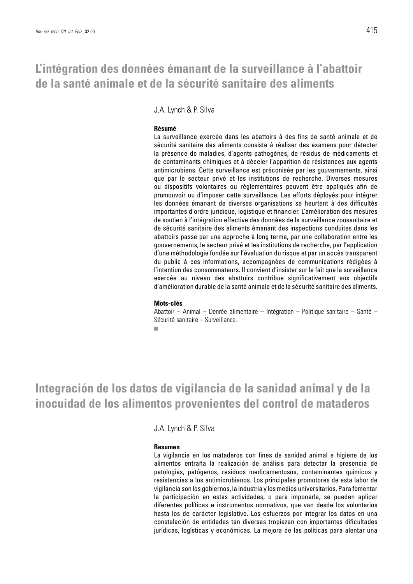### **L'intégration des données émanant de la surveillance à l'abattoir de la santé animale et de la sécurité sanitaire des aliments**

J.A. Lynch & P. Silva

#### **Résumé**

La surveillance exercée dans les abattoirs à des fins de santé animale et de sécurité sanitaire des aliments consiste à réaliser des examens pour détecter la présence de maladies, d'agents pathogènes, de résidus de médicaments et de contaminants chimiques et à déceler l'apparition de résistances aux agents antimicrobiens. Cette surveillance est préconisée par les gouvernements, ainsi que par le secteur privé et les institutions de recherche. Diverses mesures ou dispositifs volontaires ou réglementaires peuvent être appliqués afin de promouvoir ou d'imposer cette surveillance. Les efforts déployés pour intégrer les données émanant de diverses organisations se heurtent à des difficultés importantes d'ordre juridique, logistique et financier. L'amélioration des mesures de soutien à l'intégration effective des données de la surveillance zoosanitaire et de sécurité sanitaire des aliments émanant des inspections conduites dans les abattoirs passe par une approche à long terme, par une collaboration entre les gouvernements, le secteur privé et les institutions de recherche, par l'application d'une méthodologie fondée sur l'évaluation du risque et par un accès transparent du public à ces informations, accompagnées de communications rédigées à l'intention des consommateurs. Il convient d'insister sur le fait que la surveillance exercée au niveau des abattoirs contribue significativement aux objectifs d'amélioration durable de la santé animale et de la sécurité sanitaire des aliments.

#### **Mots-clés**

Abattoir – Animal – Denrée alimentaire – Intégration – Politique sanitaire – Santé – Sécurité sanitaire – Surveillance.**COL** 

### **Integración de los datos de vigilancia de la sanidad animal y de la inocuidad de los alimentos provenientes del control de mataderos**

J.A. Lynch & P. Silva

#### **Resumen**

La vigilancia en los mataderos con fines de sanidad animal e higiene de los alimentos entraña la realización de análisis para detectar la presencia de patologías, patógenos, residuos medicamentosos, contaminantes químicos y resistencias a los antimicrobianos. Los principales promotores de esta labor de vigilancia son los gobiernos, la industria y los medios universitarios. Para fomentar la participación en estas actividades, o para imponerla, se pueden aplicar diferentes políticas e instrumentos normativos, que van desde los voluntarios hasta los de carácter legislativo. Los esfuerzos por integrar los datos en una constelación de entidades tan diversas tropiezan con importantes dificultades jurídicas, logísticas y económicas. La mejora de las políticas para alentar una